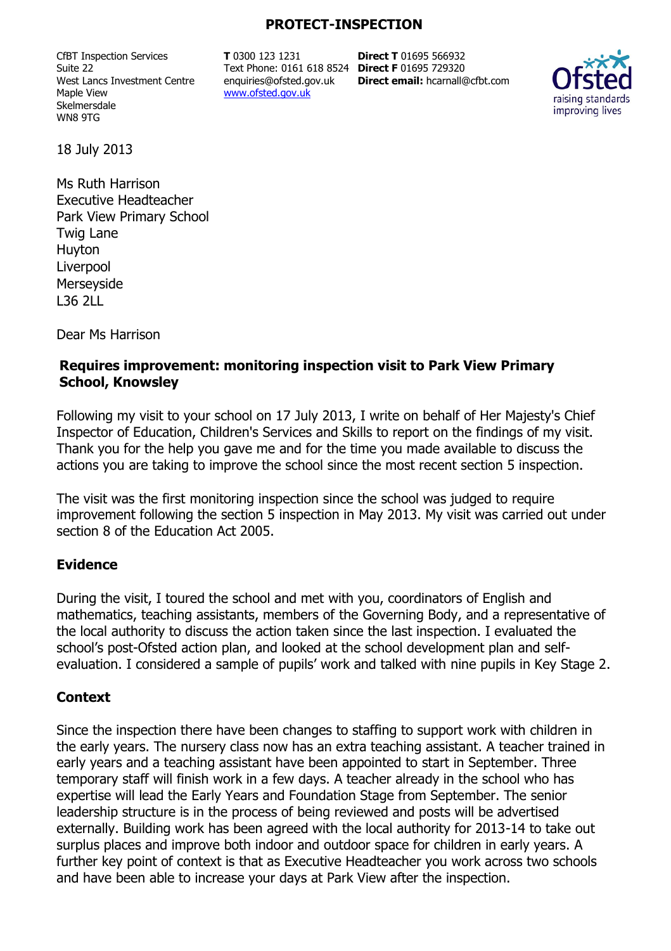### **PROTECT-INSPECTION**

CfBT Inspection Services Suite 22 West Lancs Investment Centre Maple View Skelmersdale WN8 9TG

**T** 0300 123 1231 Text Phone: 0161 618 8524 **Direct F** 01695 729320 enquiries@ofsted.gov.uk www.ofsted.gov.uk

**Direct T** 01695 566932 **Direct email:** hcarnall@cfbt.com



18 July 2013

Ms Ruth Harrison Executive Headteacher Park View Primary School Twig Lane Huyton Liverpool Merseyside L36 2LL

Dear Ms Harrison

## **Requires improvement: monitoring inspection visit to Park View Primary School, Knowsley**

Following my visit to your school on 17 July 2013, I write on behalf of Her Majesty's Chief Inspector of Education, Children's Services and Skills to report on the findings of my visit. Thank you for the help you gave me and for the time you made available to discuss the actions you are taking to improve the school since the most recent section 5 inspection.

The visit was the first monitoring inspection since the school was judged to require improvement following the section 5 inspection in May 2013. My visit was carried out under section 8 of the Education Act 2005.

## **Evidence**

During the visit, I toured the school and met with you, coordinators of English and mathematics, teaching assistants, members of the Governing Body, and a representative of the local authority to discuss the action taken since the last inspection. I evaluated the school's post-Ofsted action plan, and looked at the school development plan and selfevaluation. I considered a sample of pupils' work and talked with nine pupils in Key Stage 2.

#### **Context**

Since the inspection there have been changes to staffing to support work with children in the early years. The nursery class now has an extra teaching assistant. A teacher trained in early years and a teaching assistant have been appointed to start in September. Three temporary staff will finish work in a few days. A teacher already in the school who has expertise will lead the Early Years and Foundation Stage from September. The senior leadership structure is in the process of being reviewed and posts will be advertised externally. Building work has been agreed with the local authority for 2013-14 to take out surplus places and improve both indoor and outdoor space for children in early years. A further key point of context is that as Executive Headteacher you work across two schools and have been able to increase your days at Park View after the inspection.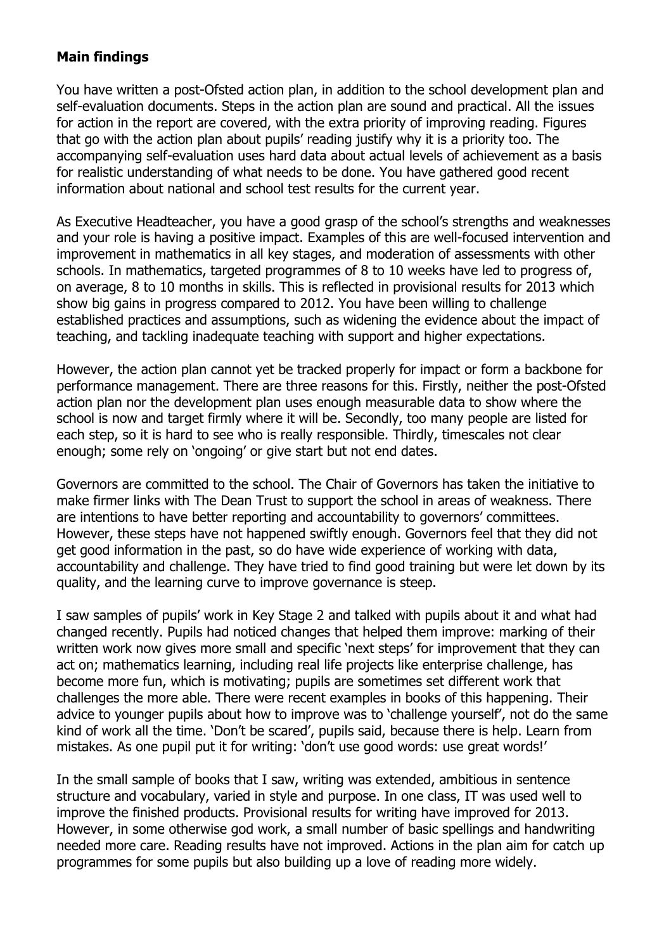## **Main findings**

You have written a post-Ofsted action plan, in addition to the school development plan and self-evaluation documents. Steps in the action plan are sound and practical. All the issues for action in the report are covered, with the extra priority of improving reading. Figures that go with the action plan about pupils' reading justify why it is a priority too. The accompanying self-evaluation uses hard data about actual levels of achievement as a basis for realistic understanding of what needs to be done. You have gathered good recent information about national and school test results for the current year.

As Executive Headteacher, you have a good grasp of the school's strengths and weaknesses and your role is having a positive impact. Examples of this are well-focused intervention and improvement in mathematics in all key stages, and moderation of assessments with other schools. In mathematics, targeted programmes of 8 to 10 weeks have led to progress of, on average, 8 to 10 months in skills. This is reflected in provisional results for 2013 which show big gains in progress compared to 2012. You have been willing to challenge established practices and assumptions, such as widening the evidence about the impact of teaching, and tackling inadequate teaching with support and higher expectations.

However, the action plan cannot yet be tracked properly for impact or form a backbone for performance management. There are three reasons for this. Firstly, neither the post-Ofsted action plan nor the development plan uses enough measurable data to show where the school is now and target firmly where it will be. Secondly, too many people are listed for each step, so it is hard to see who is really responsible. Thirdly, timescales not clear enough; some rely on 'ongoing' or give start but not end dates.

Governors are committed to the school. The Chair of Governors has taken the initiative to make firmer links with The Dean Trust to support the school in areas of weakness. There are intentions to have better reporting and accountability to governors' committees. However, these steps have not happened swiftly enough. Governors feel that they did not get good information in the past, so do have wide experience of working with data, accountability and challenge. They have tried to find good training but were let down by its quality, and the learning curve to improve governance is steep.

I saw samples of pupils' work in Key Stage 2 and talked with pupils about it and what had changed recently. Pupils had noticed changes that helped them improve: marking of their written work now gives more small and specific 'next steps' for improvement that they can act on; mathematics learning, including real life projects like enterprise challenge, has become more fun, which is motivating; pupils are sometimes set different work that challenges the more able. There were recent examples in books of this happening. Their advice to younger pupils about how to improve was to 'challenge yourself', not do the same kind of work all the time. 'Don't be scared', pupils said, because there is help. Learn from mistakes. As one pupil put it for writing: 'don't use good words: use great words!'

In the small sample of books that I saw, writing was extended, ambitious in sentence structure and vocabulary, varied in style and purpose. In one class, IT was used well to improve the finished products. Provisional results for writing have improved for 2013. However, in some otherwise god work, a small number of basic spellings and handwriting needed more care. Reading results have not improved. Actions in the plan aim for catch up programmes for some pupils but also building up a love of reading more widely.